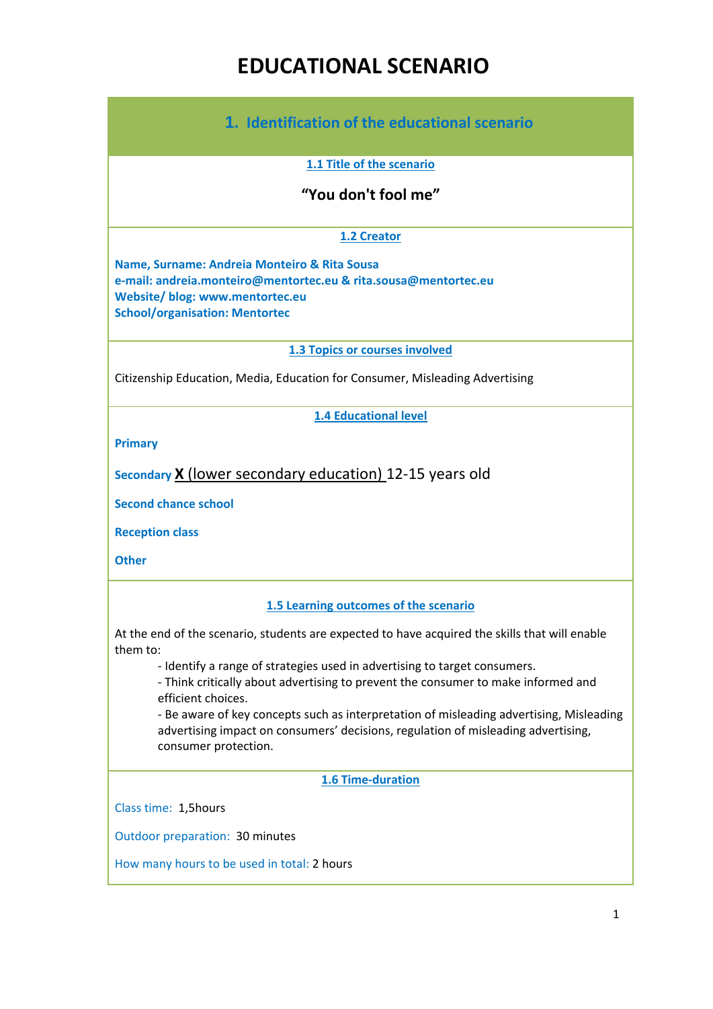# **EDUCATIONAL SCENARIO**

| 1. Identification of the educational scenario                                                                                                                                                                                                                                                                                                                                                |
|----------------------------------------------------------------------------------------------------------------------------------------------------------------------------------------------------------------------------------------------------------------------------------------------------------------------------------------------------------------------------------------------|
| 1.1 Title of the scenario                                                                                                                                                                                                                                                                                                                                                                    |
| "You don't fool me"                                                                                                                                                                                                                                                                                                                                                                          |
| 1.2 Creator                                                                                                                                                                                                                                                                                                                                                                                  |
| Name, Surname: Andreia Monteiro & Rita Sousa<br>e-mail: andreia.monteiro@mentortec.eu & rita.sousa@mentortec.eu<br>Website/ blog: www.mentortec.eu<br><b>School/organisation: Mentortec</b>                                                                                                                                                                                                  |
| 1.3 Topics or courses involved                                                                                                                                                                                                                                                                                                                                                               |
| Citizenship Education, Media, Education for Consumer, Misleading Advertising                                                                                                                                                                                                                                                                                                                 |
| <b>1.4 Educational level</b>                                                                                                                                                                                                                                                                                                                                                                 |
| <b>Primary</b>                                                                                                                                                                                                                                                                                                                                                                               |
| Secondary X (lower secondary education) 12-15 years old                                                                                                                                                                                                                                                                                                                                      |
| <b>Second chance school</b>                                                                                                                                                                                                                                                                                                                                                                  |
| <b>Reception class</b>                                                                                                                                                                                                                                                                                                                                                                       |
| <b>Other</b>                                                                                                                                                                                                                                                                                                                                                                                 |
| 1.5 Learning outcomes of the scenario                                                                                                                                                                                                                                                                                                                                                        |
| At the end of the scenario, students are expected to have acquired the skills that will enable<br>them to:                                                                                                                                                                                                                                                                                   |
| - Identify a range of strategies used in advertising to target consumers.<br>- Think critically about advertising to prevent the consumer to make informed and<br>efficient choices.<br>- Be aware of key concepts such as interpretation of misleading advertising, Misleading<br>advertising impact on consumers' decisions, regulation of misleading advertising,<br>consumer protection. |
| 1.6 Time-duration                                                                                                                                                                                                                                                                                                                                                                            |
| Class time: 1,5hours                                                                                                                                                                                                                                                                                                                                                                         |
| Outdoor preparation: 30 minutes                                                                                                                                                                                                                                                                                                                                                              |
| How many hours to be used in total: 2 hours                                                                                                                                                                                                                                                                                                                                                  |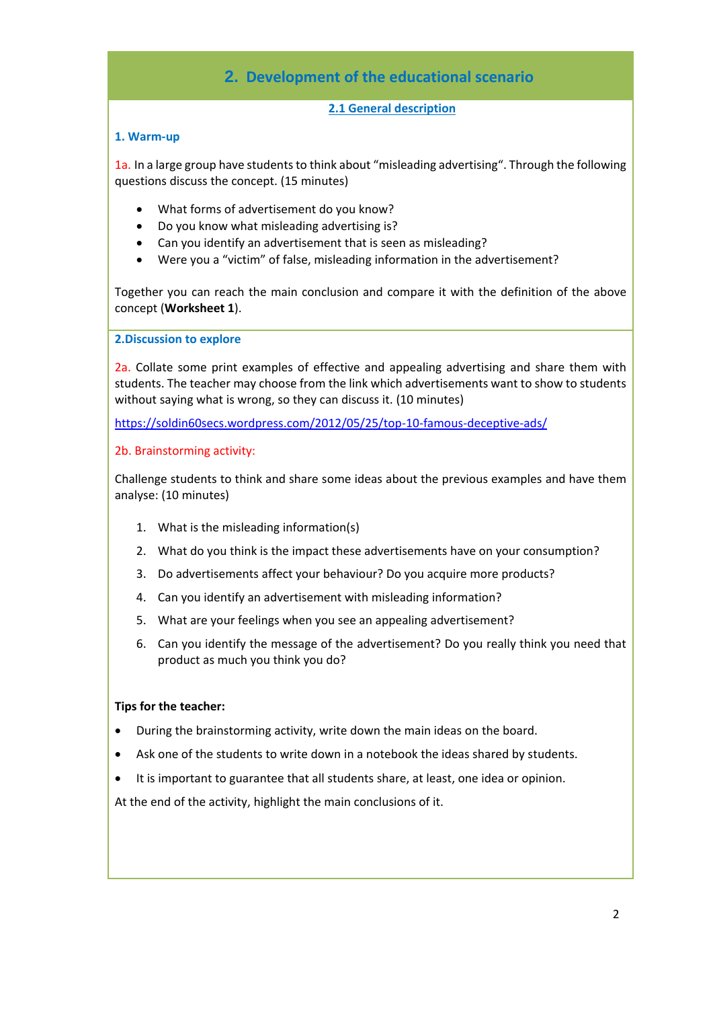### **2. Development of the educational scenario**

#### **2.1 General description**

#### **1. Warm-up**

1a. In a large group have students to think about "misleading advertising". Through the following questions discuss the concept. (15 minutes)

- What forms of advertisement do you know?
- Do you know what misleading advertising is?
- Can you identify an advertisement that is seen as misleading?
- Were you a "victim" of false, misleading information in the advertisement?

Together you can reach the main conclusion and compare it with the definition of the above concept (**Worksheet 1**).

**2.Discussion to explore** 

2a. Collate some print examples of effective and appealing advertising and share them with students. The teacher may choose from the link which advertisements want to show to students without saying what is wrong, so they can discuss it. (10 minutes)

<https://soldin60secs.wordpress.com/2012/05/25/top-10-famous-deceptive-ads/>

#### 2b. Brainstorming activity:

Challenge students to think and share some ideas about the previous examples and have them analyse: (10 minutes)

- 1. What is the misleading information(s)
- 2. What do you think is the impact these advertisements have on your consumption?
- 3. Do advertisements affect your behaviour? Do you acquire more products?
- 4. Can you identify an advertisement with misleading information?
- 5. What are your feelings when you see an appealing advertisement?
- 6. Can you identify the message of the advertisement? Do you really think you need that product as much you think you do?

#### **Tips for the teacher:**

- During the brainstorming activity, write down the main ideas on the board.
- Ask one of the students to write down in a notebook the ideas shared by students.
- It is important to guarantee that all students share, at least, one idea or opinion.

At the end of the activity, highlight the main conclusions of it.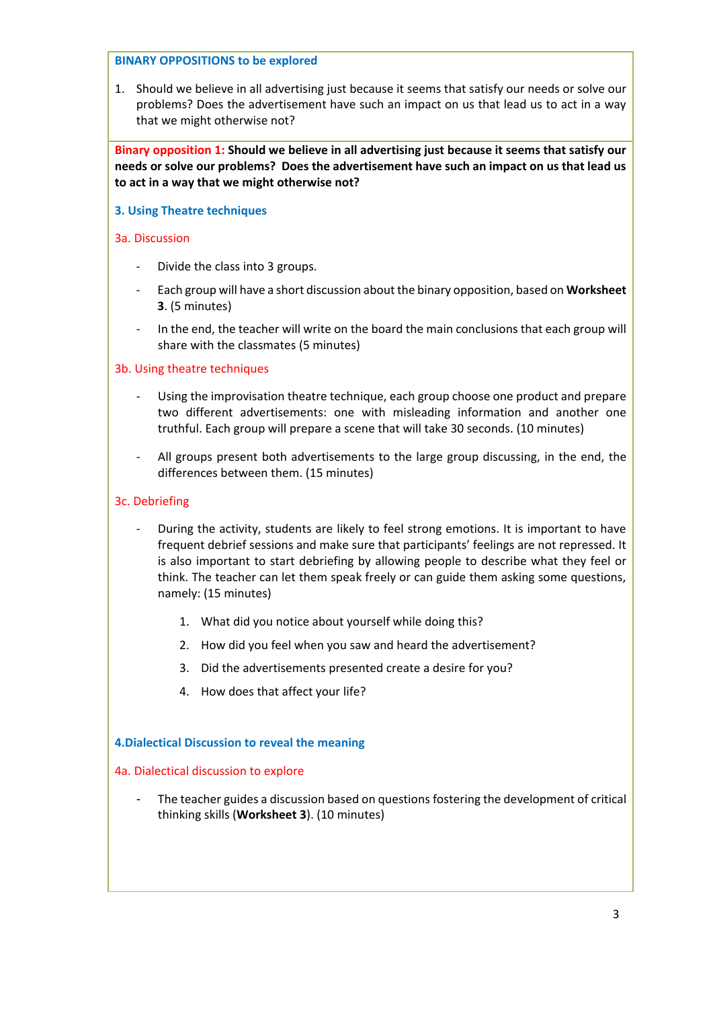#### **BINARY OPPOSITIONS to be explored**

1. Should we believe in all advertising just because it seems that satisfy our needs or solve our problems? Does the advertisement have such an impact on us that lead us to act in a way that we might otherwise not?

**Binary opposition 1: Should we believe in all advertising just because it seems that satisfy our needs or solve our problems? Does the advertisement have such an impact on us that lead us to act in a way that we might otherwise not?**

#### **3. Using Theatre techniques**

#### 3a. Discussion

- Divide the class into 3 groups.
- Each group will have a short discussion about the binary opposition, based on **Worksheet 3**. (5 minutes)
- In the end, the teacher will write on the board the main conclusions that each group will share with the classmates (5 minutes)

#### 3b. Using theatre techniques

- Using the improvisation theatre technique, each group choose one product and prepare two different advertisements: one with misleading information and another one truthful. Each group will prepare a scene that will take 30 seconds. (10 minutes)
- All groups present both advertisements to the large group discussing, in the end, the differences between them. (15 minutes)

#### 3c. Debriefing

- During the activity, students are likely to feel strong emotions. It is important to have frequent debrief sessions and make sure that participants' feelings are not repressed. It is also important to start debriefing by allowing people to describe what they feel or think. The teacher can let them speak freely or can guide them asking some questions, namely: (15 minutes)
	- 1. What did you notice about yourself while doing this?
	- 2. How did you feel when you saw and heard the advertisement?
	- 3. Did the advertisements presented create a desire for you?
	- 4. How does that affect your life?

#### **4.Dialectical Discussion to reveal the meaning**

#### 4a. Dialectical discussion to explore

The teacher guides a discussion based on questions fostering the development of critical thinking skills (**Worksheet 3**). (10 minutes)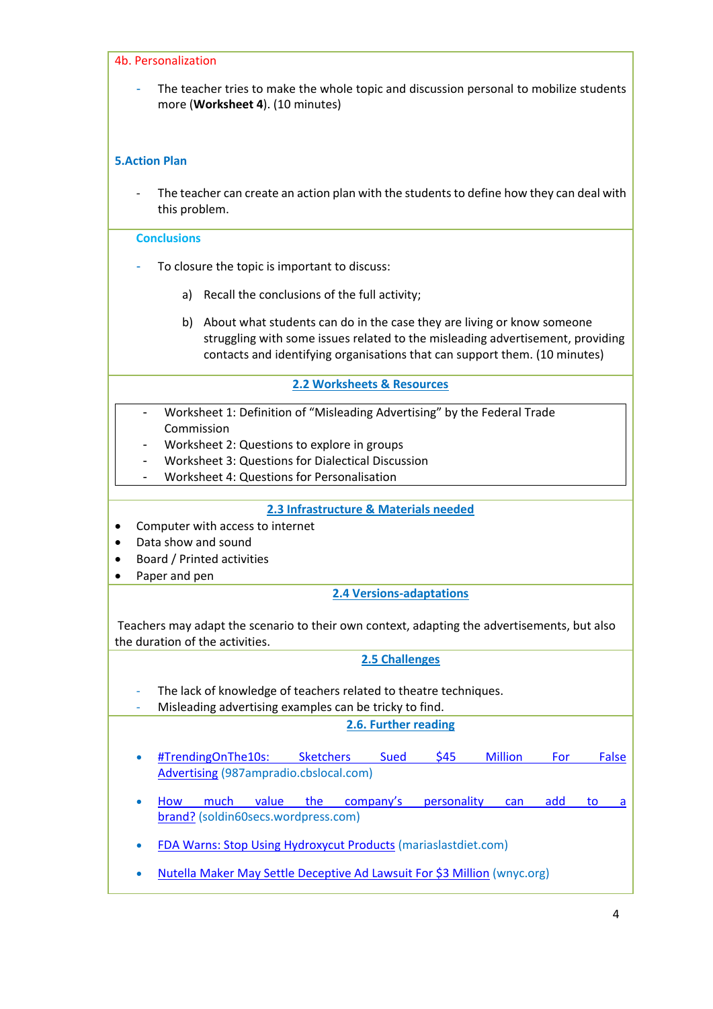| 4b. Personalization                                                                                                                                                                                                                           |
|-----------------------------------------------------------------------------------------------------------------------------------------------------------------------------------------------------------------------------------------------|
| The teacher tries to make the whole topic and discussion personal to mobilize students<br>more (Worksheet 4). (10 minutes)                                                                                                                    |
| <b>5.Action Plan</b>                                                                                                                                                                                                                          |
| The teacher can create an action plan with the students to define how they can deal with<br>this problem.                                                                                                                                     |
| <b>Conclusions</b>                                                                                                                                                                                                                            |
| To closure the topic is important to discuss:                                                                                                                                                                                                 |
| a) Recall the conclusions of the full activity;                                                                                                                                                                                               |
| b) About what students can do in the case they are living or know someone<br>struggling with some issues related to the misleading advertisement, providing<br>contacts and identifying organisations that can support them. (10 minutes)     |
| 2.2 Worksheets & Resources                                                                                                                                                                                                                    |
| Worksheet 1: Definition of "Misleading Advertising" by the Federal Trade<br>Commission<br>Worksheet 2: Questions to explore in groups<br>Worksheet 3: Questions for Dialectical Discussion<br>-<br>Worksheet 4: Questions for Personalisation |
| 2.3 Infrastructure & Materials needed                                                                                                                                                                                                         |
| Computer with access to internet<br>Data show and sound                                                                                                                                                                                       |
| Board / Printed activities                                                                                                                                                                                                                    |
| Paper and pen                                                                                                                                                                                                                                 |
| <b>2.4 Versions-adaptations</b>                                                                                                                                                                                                               |
| Teachers may adapt the scenario to their own context, adapting the advertisements, but also<br>the duration of the activities.                                                                                                                |
| 2.5 Challenges                                                                                                                                                                                                                                |
| The lack of knowledge of teachers related to theatre techniques.<br>Misleading advertising examples can be tricky to find.                                                                                                                    |
| 2.6. Further reading                                                                                                                                                                                                                          |
| <b>Million</b><br>#TrendingOnThe10s:<br><b>Sketchers</b><br>\$45<br><b>Sued</b><br>For<br>False<br><b>Advertising (987ampradio.cbslocal.com)</b>                                                                                              |
| much<br>value<br>company's<br>personality<br>the<br>add<br>How<br>can<br>to<br>a<br>٠<br>brand? (soldin60secs.wordpress.com)                                                                                                                  |
| <b>FDA Warns: Stop Using Hydroxycut Products (mariaslastdiet.com)</b>                                                                                                                                                                         |
| Nutella Maker May Settle Deceptive Ad Lawsuit For \$3 Million (wnyc.org)                                                                                                                                                                      |
|                                                                                                                                                                                                                                               |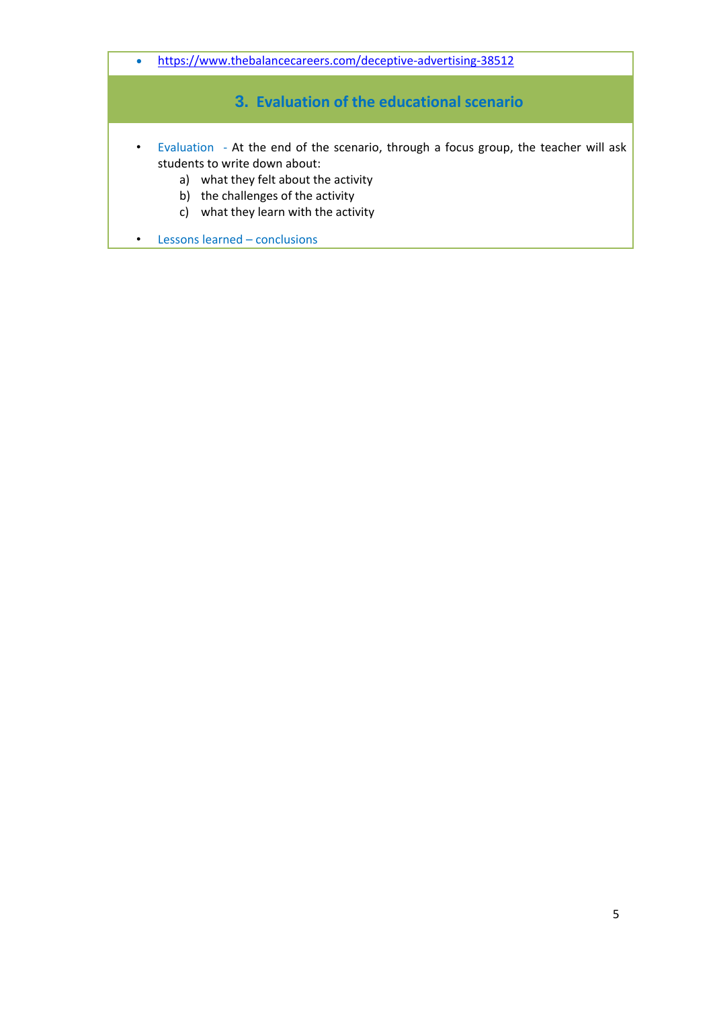• <https://www.thebalancecareers.com/deceptive-advertising-38512>

### **3. Evaluation of the educational scenario**

- Evaluation At the end of the scenario, through a focus group, the teacher will ask students to write down about:
	- a) what they felt about the activity
	- b) the challenges of the activity
	- c) what they learn with the activity
- Lessons learned conclusions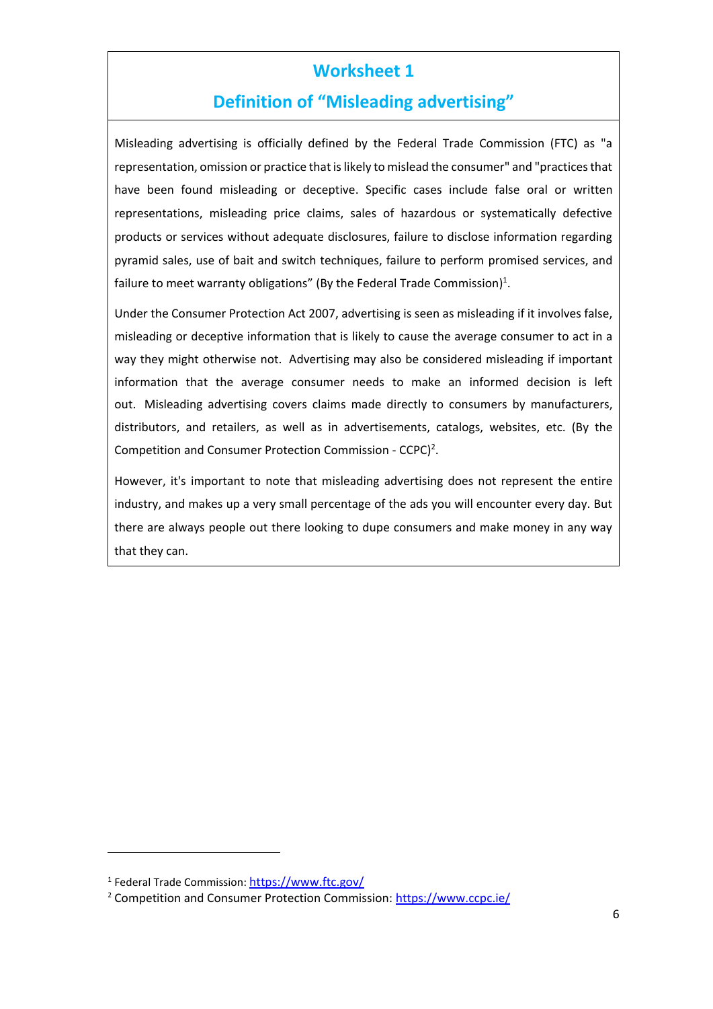## **Definition of "Misleading advertising"**

Misleading advertising is officially defined by the Federal Trade Commission (FTC) as "a representation, omission or practice that is likely to mislead the consumer" and "practices that have been found misleading or deceptive. Specific cases include false oral or written representations, misleading price claims, sales of hazardous or systematically defective products or services without adequate disclosures, failure to disclose information regarding pyramid sales, use of bait and switch techniques, failure to perform promised services, and failure to meet warranty obligations" (By the Federal Trade Commission)<sup>1</sup>.

Under the Consumer Protection Act 2007, advertising is seen as misleading if it involves false, misleading or deceptive information that is likely to cause the average consumer to act in a way they might otherwise not. Advertising may also be considered misleading if important information that the average consumer needs to make an informed decision is left out. Misleading advertising covers claims made directly to consumers by manufacturers, distributors, and retailers, as well as in advertisements, catalogs, websites, etc. (By the Competition and Consumer Protection Commission - CCPC)<sup>2</sup>.

However, it's important to note that misleading advertising does not represent the entire industry, and makes up a very small percentage of the ads you will encounter every day. But there are always people out there looking to dupe consumers and make money in any way that they can.

<sup>&</sup>lt;sup>1</sup> Federal Trade Commission: <mark><https://www.ftc.gov/></mark>

<sup>2</sup> Competition and Consumer Protection Commission:<https://www.ccpc.ie/>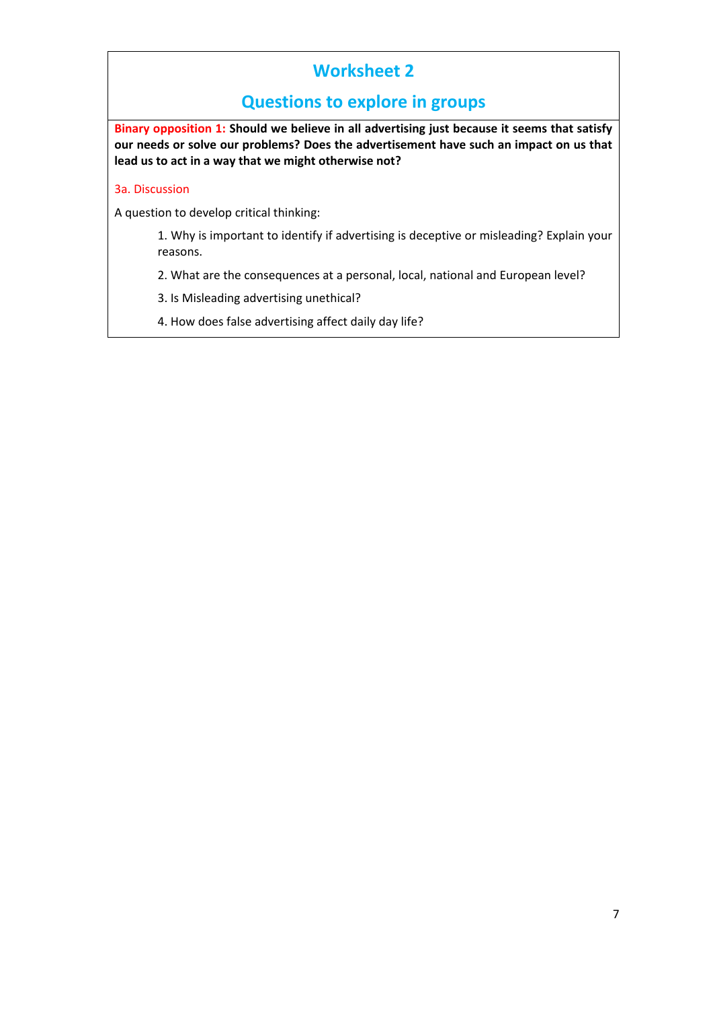### **Questions to explore in groups**

**Binary opposition 1: Should we believe in all advertising just because it seems that satisfy our needs or solve our problems? Does the advertisement have such an impact on us that lead us to act in a way that we might otherwise not?**

#### 3a. Discussion

A question to develop critical thinking:

1. Why is important to identify if advertising is deceptive or misleading? Explain your reasons.

- 2. What are the consequences at a personal, local, national and European level?
- 3. Is Misleading advertising unethical?
- 4. How does false advertising affect daily day life?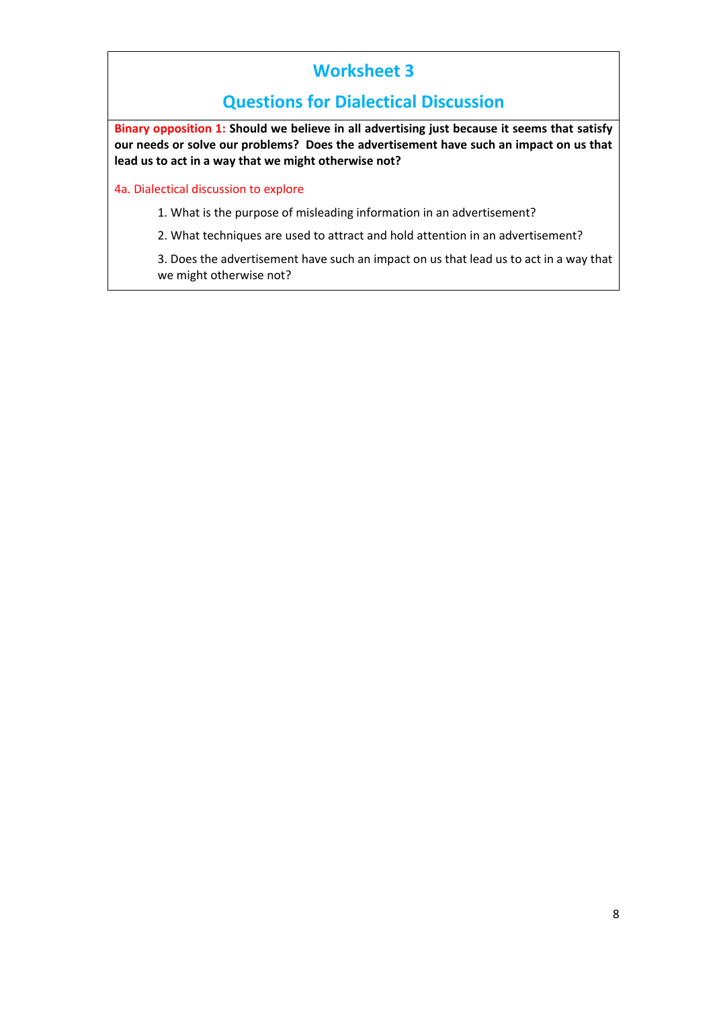### **Questions for Dialectical Discussion**

**Binary opposition 1: Should we believe in all advertising just because it seems that satisfy our needs or solve our problems? Does the advertisement have such an impact on us that lead us to act in a way that we might otherwise not?**

4a. Dialectical discussion to explore

- 1. What is the purpose of misleading information in an advertisement?
- 2. What techniques are used to attract and hold attention in an advertisement?

3. Does the advertisement have such an impact on us that lead us to act in a way that we might otherwise not?